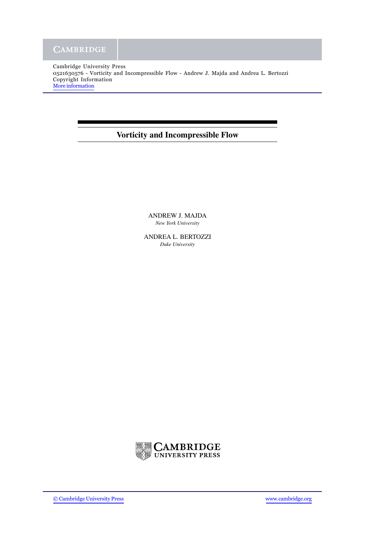Cambridge University Press 0521630576 - Vorticity and Incompressible Flow - Andrew J. Majda and Andrea L. Bertozzi Copyright Information [More information](http://www.cambridge.org/0521630576)

## **Vorticity and Incompressible Flow**

ANDREW J. MAJDA *New York University*

ANDREA L. BERTOZZI *Duke University*